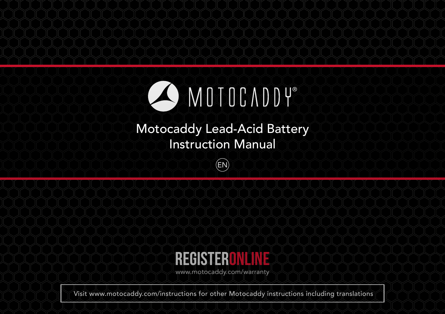

## Motocaddy Lead-Acid Battery Instruction Manual

EN



www.motocaddy.com/warranty

Visit www.motocaddy.com/instructions for other Motocaddy instructions including translations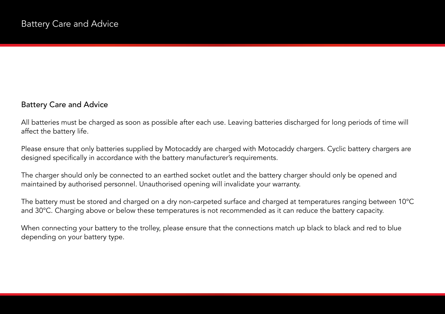## Battery Care and Advice

All batteries must be charged as soon as possible after each use. Leaving batteries discharged for long periods of time will affect the battery life.

Please ensure that only batteries supplied by Motocaddy are charged with Motocaddy chargers. Cyclic battery chargers are designed specifically in accordance with the battery manufacturer's requirements.

The charger should only be connected to an earthed socket outlet and the battery charger should only be opened and maintained by authorised personnel. Unauthorised opening will invalidate your warranty.

The battery must be stored and charged on a dry non-carpeted surface and charged at temperatures ranging between 10°C and 30°C. Charging above or below these temperatures is not recommended as it can reduce the battery capacity.

When connecting your battery to the trolley, please ensure that the connections match up black to black and red to blue depending on your battery type.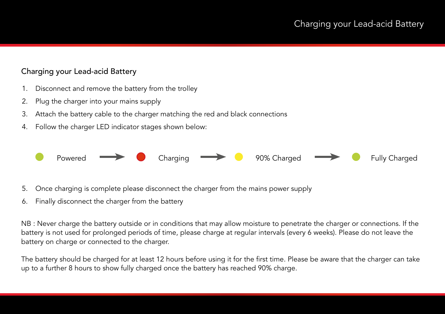## Charging your Lead-acid Battery

- 1. Disconnect and remove the battery from the trolley
- 2. Plug the charger into your mains supply
- 3. Attach the battery cable to the charger matching the red and black connections
- 4. Follow the charger LED indicator stages shown below:



- 5. Once charging is complete please disconnect the charger from the mains power supply
- 6. Finally disconnect the charger from the battery

NB : Never charge the battery outside or in conditions that may allow moisture to penetrate the charger or connections. If the battery is not used for prolonged periods of time, please charge at regular intervals (every 6 weeks). Please do not leave the battery on charge or connected to the charger.

The battery should be charged for at least 12 hours before using it for the first time. Please be aware that the charger can take up to a further 8 hours to show fully charged once the battery has reached 90% charge.